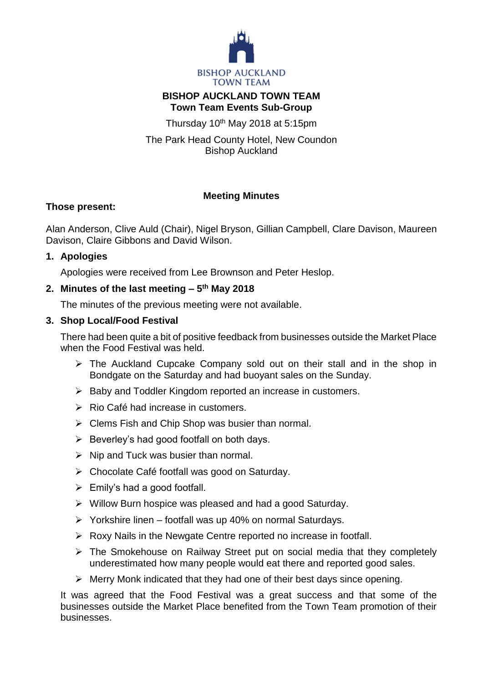

### **BISHOP AUCKLAND TOWN TEAM Town Team Events Sub-Group**

Thursday  $10<sup>th</sup>$  May 2018 at 5:15pm

The Park Head County Hotel, New Coundon Bishop Auckland

# **Meeting Minutes**

## **Those present:**

Alan Anderson, Clive Auld (Chair), Nigel Bryson, Gillian Campbell, Clare Davison, Maureen Davison, Claire Gibbons and David Wilson.

## **1. Apologies**

Apologies were received from Lee Brownson and Peter Heslop.

## **2. Minutes of the last meeting – 5 th May 2018**

The minutes of the previous meeting were not available.

## **3. Shop Local/Food Festival**

There had been quite a bit of positive feedback from businesses outside the Market Place when the Food Festival was held.

- $\triangleright$  The Auckland Cupcake Company sold out on their stall and in the shop in Bondgate on the Saturday and had buoyant sales on the Sunday.
- $\triangleright$  Baby and Toddler Kingdom reported an increase in customers.
- $\triangleright$  Rio Café had increase in customers.
- $\triangleright$  Clems Fish and Chip Shop was busier than normal.
- $\triangleright$  Beverley's had good footfall on both days.
- $\triangleright$  Nip and Tuck was busier than normal.
- Chocolate Café footfall was good on Saturday.
- $\triangleright$  Emily's had a good footfall.
- $\triangleright$  Willow Burn hospice was pleased and had a good Saturday.
- $\triangleright$  Yorkshire linen footfall was up 40% on normal Saturdays.
- $\triangleright$  Roxy Nails in the Newgate Centre reported no increase in footfall.
- The Smokehouse on Railway Street put on social media that they completely underestimated how many people would eat there and reported good sales.
- $\triangleright$  Merry Monk indicated that they had one of their best days since opening.

It was agreed that the Food Festival was a great success and that some of the businesses outside the Market Place benefited from the Town Team promotion of their businesses.